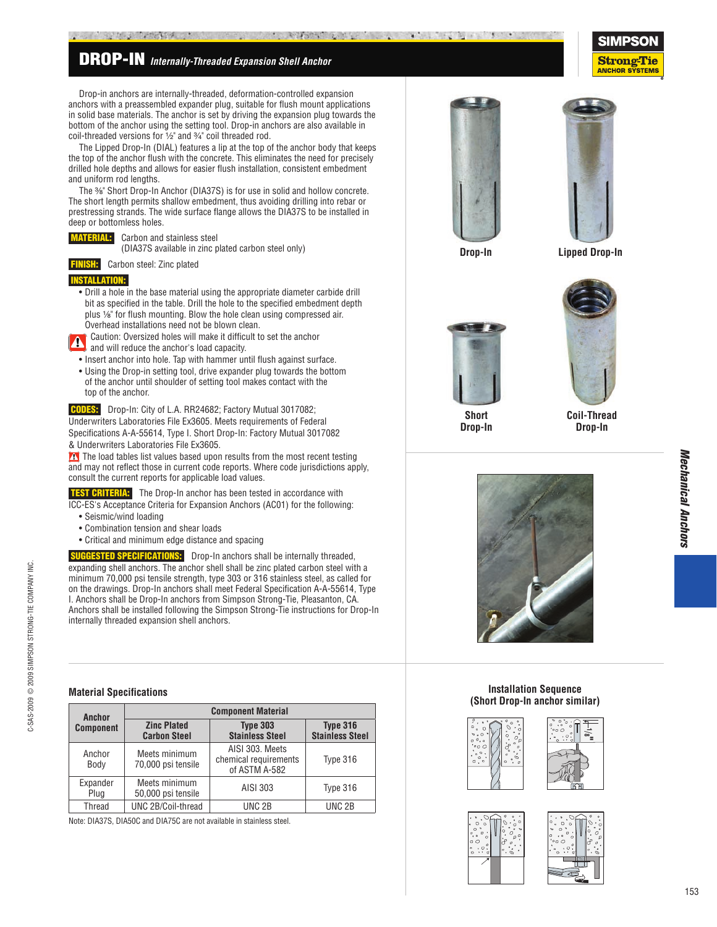## **DROP-IN** *Internally-Threaded Expansion Shell Anchor*

 Drop-in anchors are internally-threaded, deformation-controlled expansion anchors with a preassembled expander plug, suitable for fl ush mount applications in solid base materials. The anchor is set by driving the expansion plug towards the bottom of the anchor using the setting tool. Drop-in anchors are also available in coil-threaded versions for  $\frac{1}{2}$ " and  $\frac{3}{4}$ " coil threaded rod.

**Artifattion** 

 The Lipped Drop-In (DIAL) features a lip at the top of the anchor body that keeps the top of the anchor flush with the concrete. This eliminates the need for precisely drilled hole depths and allows for easier flush installation, consistent embedment and uniform rod lengths.

The %" Short Drop-In Anchor (DIA37S) is for use in solid and hollow concrete. The short length permits shallow embedment, thus avoiding drilling into rebar or prestressing strands. The wide surface flange allows the DIA37S to be installed in deep or bottomless holes.

### **MERIAL:** Carbon and stainless steel

(DIA37S available in zinc plated carbon steel only)

**SH:** Carbon steel: Zinc plated

#### **INSTALLATION:**

- Drill a hole in the base material using the appropriate diameter carbide drill bit as specified in the table. Drill the hole to the specified embedment depth plus  $\frac{1}{8}$ " for flush mounting. Blow the hole clean using compressed air. Overhead installations need not be blown clean.
- Caution: Oversized holes will make it difficult to set the anchor and will reduce the anchor's load capacity.
- Insert anchor into hole. Tap with hammer until flush against surface.
- Using the Drop-in setting tool, drive expander plug towards the bottom of the anchor until shoulder of setting tool makes contact with the top of the anchor.

 **CODES:** Drop-In: City of L.A. RR24682; Factory Mutual 3017082; Underwriters Laboratories File Ex3605. Meets requirements of Federal Speci fi cations A-A-55614, Type I. Short Drop-In: Factory Mutual 3017082 & Underwriters Laboratories File Ex3605.

The load tables list values based upon results from the most recent testing and may not reflect those in current code reports. Where code jurisdictions apply, consult the current reports for applicable load values.

**TEST CRITERIA:** The Drop-In anchor has been tested in accordance with ICC-ES's Acceptance Criteria for Expansion Anchors (AC01) for the following:

- Seismic/wind loading
- Combination tension and shear loads
- Critical and minimum edge distance and spacing

**STED SPECIFICATIONS:** Drop-In anchors shall be internally threaded, expanding shell anchors. The anchor shell shall be zinc plated carbon steel with a minimum 70,000 psi tensile strength, type 303 or 316 stainless steel, as called for on the drawings. Drop-In anchors shall meet Federal Speci fi cation A-A-55614, Type I. Anchors shall be Drop-In anchors from Simpson Strong-Tie, Pleasanton, CA. Anchors shall be installed following the Simpson Strong-Tie instructions for Drop-In internally threaded expansion shell anchors.

#### **Material Specifications**

C-SAS-2009 © 2009 SIMPSON STRONG-TIE COMPANY INC.

C-SAS-2009 @ 2009 SIMPSON STRONG-TIE COMPANY INC.

| Anchor           | <b>Component Material</b>                 |                                                           |                                           |  |  |
|------------------|-------------------------------------------|-----------------------------------------------------------|-------------------------------------------|--|--|
| <b>Component</b> | <b>Zinc Plated</b><br><b>Carbon Steel</b> | <b>Type 303</b><br><b>Stainless Steel</b>                 | <b>Type 316</b><br><b>Stainless Steel</b> |  |  |
| Anchor<br>Body   | Meets minimum<br>70,000 psi tensile       | AISI 303. Meets<br>chemical requirements<br>of ASTM A-582 | Type 316                                  |  |  |
| Expander<br>Plug | Meets minimum<br>50,000 psi tensile       | AISI 303                                                  | Type 316                                  |  |  |
| Thread           | UNC 2B/Coil-thread                        | UNC <sub>2B</sub>                                         | UNC <sub>2B</sub>                         |  |  |

Note: DIA37S, DIA50C and DIA75C are not available in stainless steel.





**Drop-In**

**Lipped Drop-In**





**Drop-In**

**Short Drop-In**



#### **Installation Sequence (Short Drop-In anchor similar)**







**StrongTie ANCHOR SYSTEMS**